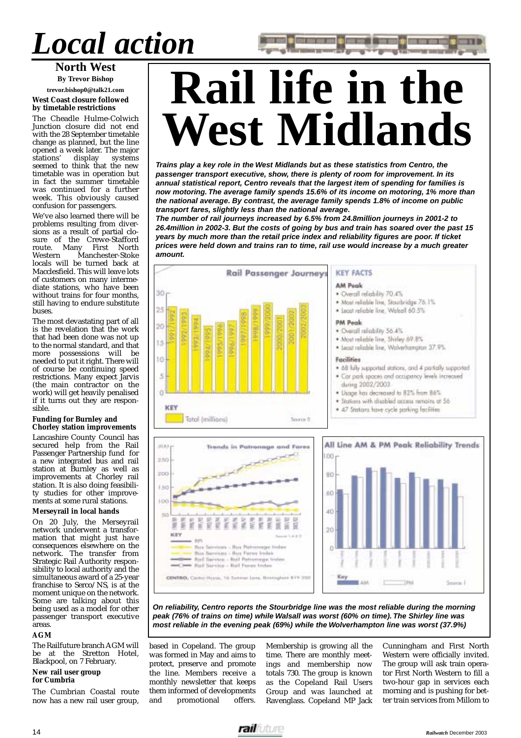## *Local action*

### **North West**

**By Trevor Bishop trevor.bishop0@talk21.com**

#### **West Coast closure followed by timetable restrictions**

The Cheadle Hulme-Colwich Junction closure did not end with the 28 September timetable change as planned, but the line opened a week later. The major<br>stations' display systems display systems seemed to think that the new timetable was in operation but in fact the summer timetable was continued for a further week. This obviously caused confusion for passengers.

We've also learned there will be problems resulting from diversions as a result of partial closure of the Crewe-Stafford route. Many First North<br>Western Manchester-Stoke Manchester-Stoke locals will be turned back at Macclesfield. This will leave lots of customers on many intermediate stations, who have been without trains for four months, still having to endure substitute buses.

The most devastating part of all is the revelation that the work that had been done was not up to the normal standard, and that<br>more possessions will be possessions will be needed to put it right. There will of course be continuing speed restrictions. Many expect Jarvis (the main contractor on the work) will get heavily penalised if it turns out they are responsible.

#### **Funding for Burnley and Chorley station improvements**

Lancashire County Council has secured help from the Rail Passenger Partnership fund for a new integrated bus and rail station at Burnley as well as improvements at Chorley rail station. It is also doing feasibility studies for other improvements at some rural stations.

#### **Merseyrail in local hands**

On 20 July, the Merseyrail network underwent a transformation that might just have consequences elsewhere on the network. The transfer from Strategic Rail Authority responsibility to local authority and the simultaneous award of a 25-year franchise to Serco/NS, is at the moment unique on the network. Some are talking about this being used as a model for other passenger transport executive areas.

#### **AGM**

The Railfuture branch AGM will be at the Stretton Hotel, Blackpool, on 7 February.

#### **New rail user group for Cumbria**

The Cumbrian Coastal route now has a new rail user group,

# **Rail life in the West Midlands**

**Trains play a key role in the West Midlands but as these statistics from Centro, the passenger transport executive, show, there is plenty of room for improvement. In its annual statistical report, Centro reveals that the largest item of spending for families is now motoring. The average family spends 15.6% of its income on motoring, 1% more than the national average. By contrast, the average family spends 1.8% of income on public transport fares, slightly less than the national average.**

**The number of rail journeys increased by 6.5% from 24.8million journeys in 2001-2 to 26.4million in 2002-3. But the costs of going by bus and train has soared over the past 15 years by much more than the retail price index and reliability figures are poor. If ticket prices were held down and trains ran to time, rail use would increase by a much greater amount.**



**On reliability, Centro reports the Stourbridge line was the most reliable during the morning peak (76% of trains on time) while Walsall was worst (60% on time). The Shirley line was most reliable in the evening peak (69%) while the Wolverhampton line was worst (37.9%)**

based in Copeland. The group was formed in May and aims to protect, preserve and promote the line. Members receive a monthly newsletter that keeps them informed of developments and promotional offers.

Membership is growing all the time. There are monthly meetings and membership now totals 730. The group is known as the Copeland Rail Users Group and was launched at Ravenglass. Copeland MP Jack

Cunningham and First North Western were officially invited. The group will ask train operator First North Western to fill a two-hour gap in services each morning and is pushing for better train services from Millom to

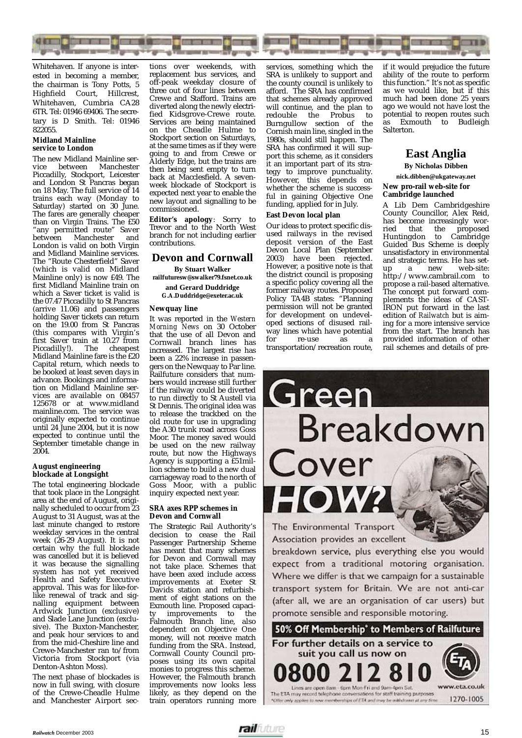

Whitehaven. If anyone is interested in becoming a member, the chairman is Tony Potts, 5 Highfield Court, Hillcrest, Whitehaven, Cumbria CA28 6TR. Tel: 01946 69406. The secretary is D Smith. Tel: 01946 822055.

#### **Midland Mainline service to London**

The new Midland Mainline ser-<br>vice between Manchester between Manchester Piccadilly, Stockport, Leicester and London St Pancras began on 18 May. The full service of 14 trains each way (Monday to Saturday) started on 30 June. The fares are generally cheaper than on Virgin Trains. The £50 "any permitted route" Saver between Manchester and London is valid on both Virgin and Midland Mainline services. The "Route Chesterfield" Saver (which is valid on Midland Mainline only) is now £49. The first Midland Mainline train on which a Saver ticket is valid is the 07.47 Piccadilly to St Pancras (arrive 11.06) and passengers holding Saver tickets can return on the 19.00 from St Pancras (this compares with Virgin's first Saver train at 10.27 from<br>Piccadilly!). The cheapest The cheapest Midland Mainline fare is the £20 Capital return, which needs to be booked at least seven days in advance. Bookings and information on Midland Mainline services are available on 08457 125678 or at www.midland mainline.com. The service was originally expected to continue until 24 June 2004, but it is now expected to continue until the September timetable change in 2004.

#### **August engineering blockade at Longsight**

The total engineering blockade that took place in the Longsight area at the end of August, originally scheduled to occur from 23 August to 31 August, was at the last minute changed to restore weekday services in the central week (26-29 August). It is not certain why the full blockade was cancelled but it is believed it was because the signalling system has not yet received Health and Safety Executive approval. This was for like-forlike renewal of track and signalling equipment between Ardwick Junction (exclusive) and Slade Lane Junction (exclusive). The Buxton-Manchester, and peak hour services to and from the mid-Cheshire line and Crewe-Manchester ran to/from Victoria from Stockport (via Denton-Ashton Moss).

The next phase of blockades is now in full swing, with closure of the Crewe-Cheadle Hulme and Manchester Airport sec-

tions over weekends, with replacement bus services, and off-peak weekday closure of three out of four lines between Crewe and Stafford. Trains are diverted along the newly electrified Kidsgrove-Crewe route. Services are being maintained on the Cheadle Hulme to Stockport section on Saturdays, at the same times as if they were going to and from Crewe or Alderly Edge, but the trains are then being sent empty to turn back at Macclesfield. A sevenweek blockade of Stockport is expected next year to enable the new layout and signalling to be commissioned.

**Editor's apology**: Sorry to Trevor and to the North West branch for not including earlier contributions.

#### **Devon and Cornwall**

**By Stuart Walker**

**railfuturesw@swalker79.fsnet.co.uk and Gerard Duddridge**

**G.A.Duddridge@exeter.ac.uk**

#### **Newquay line**

It was reported in the *Western Morning News* on 30 October that the use of all Devon and Cornwall branch lines has increased. The largest rise has been a 22% increase in passengers on the Newquay to Par line. Railfuture considers that numbers would increase still further if the railway could be diverted to run directly to St Austell via St Dennis. The original idea was to release the trackbed on the old route for use in upgrading the A30 trunk road across Goss Moor. The money saved would be used on the new railway route, but now the Highways Agency is supporting a £51million scheme to build a new dual carriageway road to the north of Goss Moor, with a public inquiry expected next year.

#### **SRA axes RPP schemes in Devon and Cornwall**

The Strategic Rail Authority's decision to cease the Rail Passenger Partnership Scheme has meant that many schemes for Devon and Cornwall may not take place. Schemes that have been axed include access improvements at Exeter St Davids station and refurbishment of eight stations on the Exmouth line. Proposed capacity improvements to the Falmouth Branch line, also dependent on Objective One money, will not receive match funding from the SRA. Instead, Cornwall County Council proposes using its own capital monies to progress this scheme. However, the Falmouth branch improvements now looks less likely, as they depend on the train operators running more services, something which the SRA is unlikely to support and the county council is unlikely to afford. The SRA has confirmed that schemes already approved will continue, and the plan to redouble the Probus to Burngullow section of the Cornish main line, singled in the 1980s, should still happen. The SRA has confirmed it will support this scheme, as it considers it an important part of its strategy to improve punctuality. However, this depends on whether the scheme is successful in gaining Objective One funding, applied for in July.

#### **East Devon local plan**

Our ideas to protect specific disused railways in the revised deposit version of the East Devon Local Plan (September 2003) have been rejected. However, a positive note is that the district council is proposing a specific policy covering all the former railway routes. Proposed Policy TA4B states: "Planning permission will not be granted for development on undeveloped sections of disused railway lines which have potential<br>for re-use as a re-use transportation/recreation route,

if it would prejudice the future ability of the route to perform this function." It's not as specific as we would like, but if this much had been done 25 years ago we would not have lost the potential to reopen routes such as Exmouth to Budleigh Salterton.

### **East Anglia**

**By Nicholas Dibben**

**nick.dibben@ukgateway.net New pro-rail web-site for Cambridge launched**

A Lib Dem Cambridgeshire County Councillor, Alex Reid, has become increasingly worried that the proposed Huntingdon to Cambridge Guided Bus Scheme is deeply unsatisfactory in environmental and strategic terms. He has set-<br>up a new web-site: a new http://www.cambrail.com to propose a rail-based alternative. The concept put forward complements the ideas of CAST-IRON put forward in the last edition of *Railwatch* but is aiming for a more intensive service from the start. The branch has provided information of other rail schemes and details of pre-



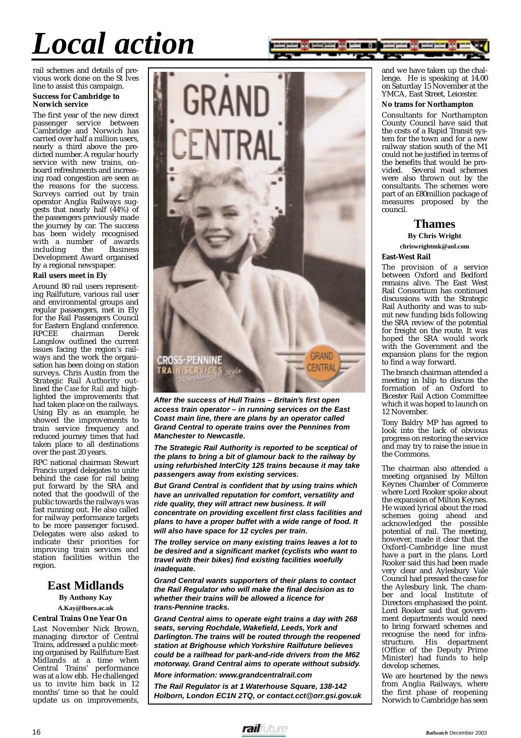# *Local action*



rail schemes and details of previous work done on the St Ives line to assist this campaign.

#### **Success for Cambridge to Norwich service**

The first year of the new direct passenger service between Cambridge and Norwich has carried over half a million users, nearly a third above the predicted number. A regular hourly service with new trains, onboard refreshments and increasing road congestion are seen as the reasons for the success. Surveys carried out by train operator Anglia Railways suggests that nearly half (44%) of the passengers previously made the journey by car. The success has been widely recognised with a number of awards<br>including the Business  $int$ including Development Award organised by a regional newspaper.

#### **Rail users meet in Ely**

Around 80 rail users representing Railfuture, various rail user and environmental groups and regular passengers, met in Ely for the Rail Passengers Council for Eastern England conference.<br>RPCEE chairman Derek chairman Langslow outlined the current issues facing the region's railways and the work the organisation has been doing on station surveys. Chris Austin from the Strategic Rail Authority outlined the *Case for Rail* and highlighted the improvements that had taken place on the railways. Using Ely as an example, he showed the improvements to train service frequency and reduced journey times that had taken place to all destinations over the past 20 years.

RPC national chairman Stewart Francis urged delegates to unite behind the case for rail being put forward by the SRA and noted that the goodwill of the public towards the railways was fast running out. He also called for railway performance targets to be more passenger focused. Delegates were also asked to indicate their priorities for improving train services and station facilities within the region.

### **East Midlands**

**By Anthony Kay**

#### **A.Kay@lboro.ac.uk Central Trains One Year On**

Last November Nick Brown, managing director of Central Trains, addressed a public meeting organised by Railfuture East Midlands at a time when<br>Central Trains' performance Central Trains' was at a low ebb. He challenged us to invite him back in  $12$ months' time so that he could update us on improvements,



**After the success of Hull Trains – Britain's first open access train operator – in running services on the East Coast main line, there are plans by an operator called Grand Central to operate trains over the Pennines from Manchester to Newcastle.**

**The Strategic Rail Authority is reported to be sceptical of the plans to bring a bit of glamour back to the railway by using refurbished InterCity 125 trains because it may take passengers away from existing services.**

**But Grand Central is confident that by using trains which have an unrivalled reputation for comfort, versatility and ride quality, they will attract new business. It will concentrate on providing excellent first class facilities and plans to have a proper buffet with a wide range of food. It will also have space for 12 cycles per train.**

**The trolley service on many existing trains leaves a lot to be desired and a significant market (cyclists who want to travel with their bikes) find existing facilities woefully inadequate.**

**Grand Central wants supporters of their plans to contact the Rail Regulator who will make the final decision as to whether their trains will be allowed a licence for trans-Pennine tracks.**

**Grand Central aims to operate eight trains a day with 268 seats, serving Rochdale, Wakefield, Leeds, York and Darlington. The trains will be routed through the reopened station at Brighouse which Yorkshire Railfuture believes could be a railhead for park-and-ride drivers from the M62 motorway. Grand Central aims to operate without subsidy.**

**More information: www.grandcentralrail.com**

**The Rail Regulator is at 1 Waterhouse Square, 138-142 Holborn, London EC1N 2TQ, or contact.cct@orr.gsi.gov.uk**

and we have taken up the challenge. He is speaking at 14.00 on Saturday 15 November at the YMCA, East Street, Leicester.

#### **No trams for Northampton**

Consultants for Northampton County Council have said that the costs of a Rapid Transit system for the town and for a new railway station south of the M1 could not be justified in terms of the benefits that would be provided. Several road schemes were also thrown out by the consultants. The schemes were part of an £80million package of measures proposed by the council.

#### **Thames**

#### **By Chris Wright**

**chriswrightmk@aol.com**

#### **East-West Rail**

The provision of a service between Oxford and Bedford remains alive. The East West Rail Consortium has continued discussions with the Strategic Rail Authority and was to submit new funding bids following the SRA review of the potential for freight on the route. It was hoped the SRA would work with the Government and the expansion plans for the region to find a way forward.

The branch chairman attended a meeting in Islip to discuss the formation of an Oxford to Bicester Rail Action Committee which it was hoped to launch on 12 November.

Tony Baldry MP has agreed to look into the lack of obvious progress on restoring the service and may try to raise the issue in the Commons.

The chairman also attended a meeting organised by Milton Keynes Chamber of Commerce where Lord Rooker spoke about the expansion of Milton Keynes. He waxed lyrical about the road schemes going ahead and acknowledged the possible potential of rail. The meeting, however, made it clear that the Oxford-Cambridge line must have a part in the plans. Lord Rooker said this had been made very clear and Aylesbury Vale Council had pressed the case for the Aylesbury link. The chamber and local Institute of Directors emphasised the point. Lord Rooker said that government departments would need to bring forward schemes and recognise the need for infrastructure. His department (Office of the Deputy Prime Minister) had funds to help develop schemes.

We are heartened by the news from Anglia Railways, where the first phase of reopening Norwich to Cambridge has seen

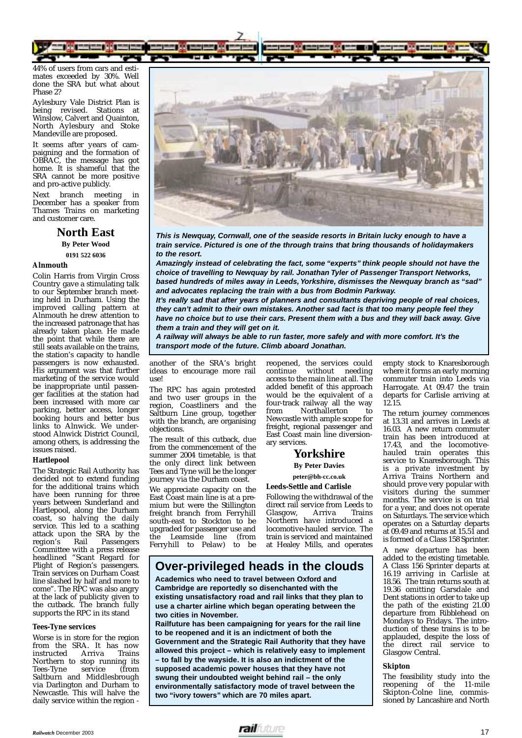

44% of users from cars and estimates exceeded by 30%. Well done the SRA but what about Phase 2?

Aylesbury Vale District Plan is being revised. Stations at Winslow, Calvert and Quainton, North Aylesbury and Stoke Mandeville are proposed.

It seems after years of campaigning and the formation of OBRAC, the message has got home. It is shameful that the SRA cannot be more positive and pro-active publicly.

Next branch meeting in December has a speaker from Thames Trains on marketing and customer care.

> **North East By Peter Wood 0191 522 6036**

#### **Alnmouth**

Colin Harris from Virgin Cross Country gave a stimulating talk to our September branch meeting held in Durham. Using the improved calling pattern at Alnmouth he drew attention to the increased patronage that has already taken place. He made the point that while there are still seats available on the trains, the station's capacity to handle passengers is now exhausted. His argument was that further marketing of the service would be inappropriate until passenger facilities at the station had been increased with more car parking, better access, longer booking hours and better bus links to Alnwick. We understood Alnwick District Council, among others, is addressing the issues raised.

#### **Hartlepool**

The Strategic Rail Authority has decided not to extend funding for the additional trains which have been running for three years between Sunderland and Hartlepool, along the Durham coast, so halving the daily service. This led to a scathing attack upon the SRA by the<br>region's Rail Passengers Passengers Committee with a press release headlined "Scant Regard for Plight of Region's passengers. Train services on Durham Coast line slashed by half and more to come". The RPC was also angry at the lack of publicity given to the cutback. The branch fully supports the RPC in its stand

#### **Tees-Tyne services**

Worse is in store for the region from the SRA. It has now<br>instructed Arriva Trains instructed Northern to stop running its<br>Tees-Tyne service (from Tees-Tyne Saltburn and Middlesbrough via Darlington and Durham to Newcastle. This will halve the daily service within the region -



**This is Newquay, Cornwall, one of the seaside resorts in Britain lucky enough to have a train service. Pictured is one of the through trains that bring thousands of holidaymakers to the resort.**

**Amazingly instead of celebrating the fact, some "experts" think people should not have the choice of travelling to Newquay by rail. Jonathan Tyler of Passenger Transport Networks, based hundreds of miles away in Leeds, Yorkshire, dismisses the Newquay branch as "sad" and advocates replacing the train with a bus from Bodmin Parkway.**

**It's really sad that after years of planners and consultants depriving people of real choices, they can't admit to their own mistakes. Another sad fact is that too many people feel they have no choice but to use their cars. Present them with a bus and they will back away. Give them a train and they will get on it.**

**A railway will always be able to run faster, more safely and with more comfort. It's the transport mode of the future. Climb aboard Jonathan.**

another of the SRA's bright ideas to encourage more rail use!

The RPC has again protested and two user groups in the region, Coastliners and the Saltburn Line group, together with the branch, are organising objections.

The result of this cutback, due from the commencement of the summer 2004 timetable, is that the only direct link between Tees and Tyne will be the longer journey via the Durham coast.

We appreciate capacity on the East Coast main line is at a premium but were the Stillington freight branch from Ferryhill south-east to Stockton to be upgraded for passenger use and<br>the Leamside line (from  $the$  Leamside line Ferryhill to Pelaw) to be reopened, the services could continue without needing access to the main line at all. The added benefit of this approach would be the equivalent of a four-track railway all the way<br>from Northallerton to Northallerton to Newcastle with ample scope for freight, regional passenger and East Coast main line diversionary services.

#### **Yorkshire**

**By Peter Davies**

**peter@bh-cc.co.uk**

**Leeds-Settle and Carlisle**

Following the withdrawal of the direct rail service from Leeds to<br>Glasgow, Arriva Trains Glasgow, Northern have introduced a locomotive-hauled service. The train is serviced and maintained at Healey Mills, and operates

**Over-privileged heads in the clouds** 

**Academics who need to travel between Oxford and Cambridge are reportedly so disenchanted with the existing unsatisfactory road and rail links that they plan to use a charter airline which began operating between the two cities in November.**

**Railfuture has been campaigning for years for the rail line to be reopened and it is an indictment of both the Government and the Strategic Rail Authority that they have allowed this project – which is relatively easy to implement – to fall by the wayside. It is also an indictment of the supposed academic power houses that they have not swung their undoubted weight behind rail – the only environmentally satisfactory mode of travel between the two "ivory towers" which are 70 miles apart.**

empty stock to Knaresborough where it forms an early morning commuter train into Leeds via Harrogate. At 09.47 the train departs for Carlisle arriving at 12.15.

The return journey commences at 13.31 and arrives in Leeds at 16.03. A new return commuter train has been introduced at 17.43, and the locomotivehauled train operates this service to Knaresborough. This is a private investment by Arriva Trains Northern and should prove very popular with visitors during the summer months. The service is on trial for a year, and does not operate on Saturdays. The service which operates on a Saturday departs at 09.49 and returns at 15.51 and is formed of a Class 158 Sprinter.

A new departure has been added to the existing timetable. A Class 156 Sprinter departs at 16.19 arriving in Carlisle at 18.56. The train returns south at 19.36 omitting Garsdale and Dent stations in order to take up the path of the existing 21.00 departure from Ribblehead on Mondays to Fridays. The introduction of these trains is to be applauded, despite the loss of the direct rail service to Glasgow Central.

#### **Skipton**

The feasibility study into the reopening of the 11-mile Skipton-Colne line, commissioned by Lancashire and North